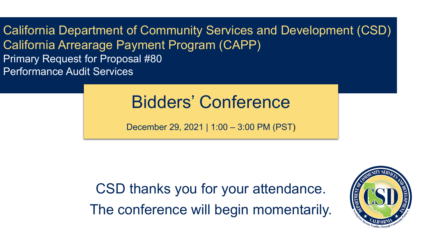California Department of Community Services and Development (CSD) California Arrearage Payment Program (CAPP) Primary Request for Proposal #80 Performance Audit Services

#### Bidders' Conference

December 29, 2021 | 1:00 – 3:00 PM (PST)

CSD thanks you for your attendance. The conference will begin momentarily.

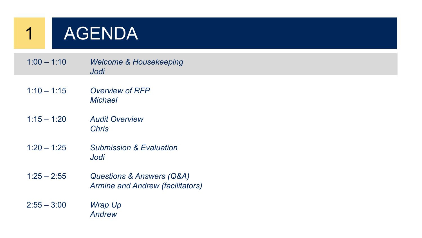

| $1:00 - 1:10$ | <b>Welcome &amp; Housekeeping</b> |
|---------------|-----------------------------------|
|               | Jodi                              |

- 1:10 1:15 *Overview of RFP Michael*
- 1:15 1:20 *Audit Overview Chris*
- 1:20 1:25 *Submission & Evaluation Jodi*
- 1:25 2:55 *Questions & Answers (Q&A) Armine and Andrew (facilitators)*
- 2:55 3:00 *Wrap Up Andrew*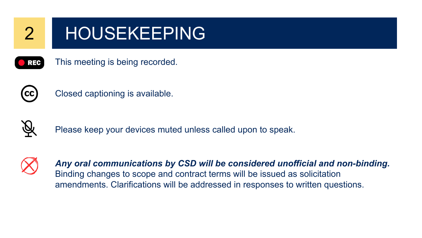

#### 2 HOUSEKEEPING





Closed captioning is available.



Please keep your devices muted unless called upon to speak.



*Any oral communications by CSD will be considered unofficial and non-binding.*  Binding changes to scope and contract terms will be issued as solicitation amendments. Clarifications will be addressed in responses to written questions.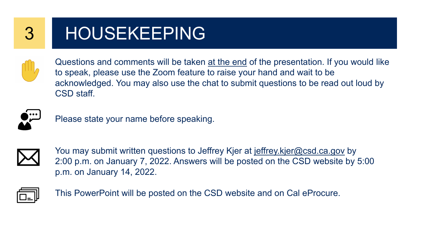

#### 3 HOUSEKEEPING



Questions and comments will be taken at the end of the presentation. If you would like to speak, please use the Zoom feature to raise your hand and wait to be acknowledged. You may also use the chat to submit questions to be read out loud by CSD staff.



Please state your name before speaking.



You may submit written questions to Jeffrey Kjer at [jeffrey.kjer@csd.ca.gov](mailto:jeffrey.kjer@csd.ca.gov) by 2:00 p.m. on January 7, 2022. Answers will be posted on the CSD website by 5:00 p.m. on January 14, 2022.



This PowerPoint will be posted on the CSD website and on Cal eProcure.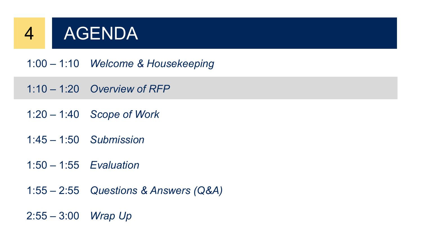

1:00 – 1:10 *Welcome & Housekeeping*

- 1:10 1:20 *Overview of RFP*
- 1:20 1:40 *Scope of Work*
- 1:45 1:50 *Submission*
- 1:50 1:55 *Evaluation*
- 1:55 2:55 *Questions & Answers (Q&A)*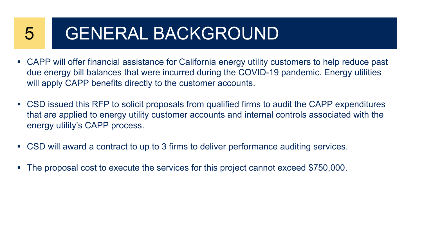#### 5 GENERAL BACKGROUND

- CAPP will offer financial assistance for California energy utility customers to help reduce past due energy bill balances that were incurred during the COVID-19 pandemic. Energy utilities will apply CAPP benefits directly to the customer accounts.
- CSD issued this RFP to solicit proposals from qualified firms to audit the CAPP expenditures that are applied to energy utility customer accounts and internal controls associated with the energy utility's CAPP process.
- CSD will award a contract to up to 3 firms to deliver performance auditing services.
- The proposal cost to execute the services for this project cannot exceed \$750,000.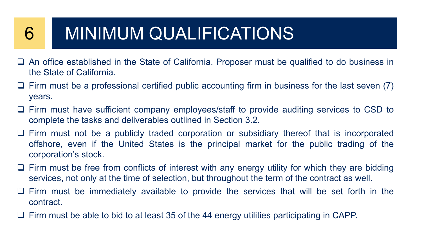#### 6 MINIMUM QUALIFICATIONS

- An office established in the State of California. Proposer must be qualified to do business in the State of California.
- $\Box$  Firm must be a professional certified public accounting firm in business for the last seven (7) years.
- Firm must have sufficient company employees/staff to provide auditing services to CSD to complete the tasks and deliverables outlined in Section 3.2.
- Firm must not be a publicly traded corporation or subsidiary thereof that is incorporated offshore, even if the United States is the principal market for the public trading of the corporation's stock.
- $\Box$  Firm must be free from conflicts of interest with any energy utility for which they are bidding services, not only at the time of selection, but throughout the term of the contract as well.
- $\Box$  Firm must be immediately available to provide the services that will be set forth in the contract.
- $\Box$  Firm must be able to bid to at least 35 of the 44 energy utilities participating in CAPP.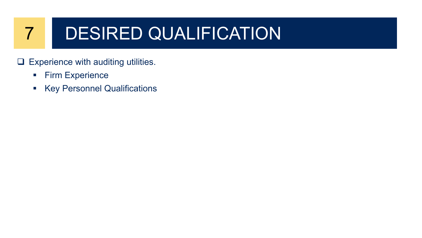#### 7 DESIRED QUALIFICATION

- $\Box$  Experience with auditing utilities.
	- **Firm Experience**
	- **Key Personnel Qualifications**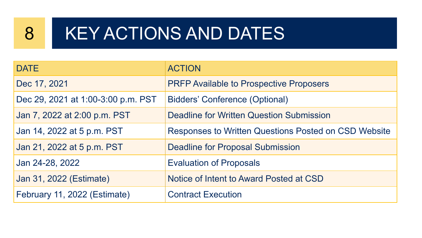#### 8 KEY ACTIONS AND DATES

| <b>DATE</b>                        | <b>ACTION</b>                                        |
|------------------------------------|------------------------------------------------------|
| Dec 17, 2021                       | <b>PRFP Available to Prospective Proposers</b>       |
| Dec 29, 2021 at 1:00-3:00 p.m. PST | <b>Bidders' Conference (Optional)</b>                |
| Jan 7, 2022 at 2:00 p.m. PST       | <b>Deadline for Written Question Submission</b>      |
| Jan 14, 2022 at 5 p.m. PST         | Responses to Written Questions Posted on CSD Website |
| Jan 21, 2022 at 5 p.m. PST         | <b>Deadline for Proposal Submission</b>              |
| Jan 24-28, 2022                    | <b>Evaluation of Proposals</b>                       |
| Jan 31, 2022 (Estimate)            | Notice of Intent to Award Posted at CSD              |
| February 11, 2022 (Estimate)       | <b>Contract Execution</b>                            |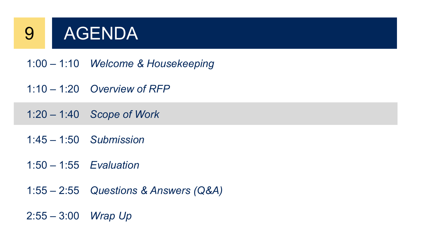

- 1:00 1:10 *Welcome & Housekeeping*
- 1:10 1:20 *Overview of RFP*
- 1:20 1:40 *Scope of Work*
- 1:45 1:50 *Submission*
- 1:50 1:55 *Evaluation*
- 1:55 2:55 *Questions & Answers (Q&A)*
- 2:55 3:00 *Wrap Up*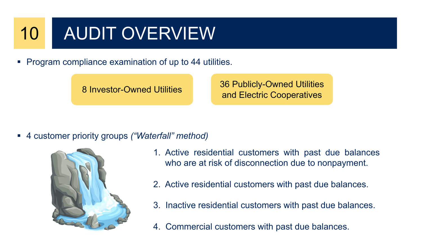## 10 AUDIT OVERVIEW

Program compliance examination of up to 44 utilities.

8 Investor-Owned Utilities 36 Publicly-Owned Utilities and Electric Cooperatives

4 customer priority groups *("Waterfall" method)*



- 1. Active residential customers with past due balances who are at risk of disconnection due to nonpayment.
- 2. Active residential customers with past due balances.
- 3. Inactive residential customers with past due balances.
- 4. Commercial customers with past due balances.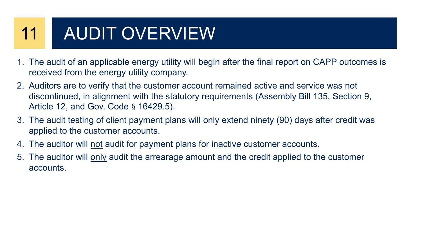## 11 AUDIT OVERVIEW

- 1. The audit of an applicable energy utility will begin after the final report on CAPP outcomes is received from the energy utility company.
- 2. Auditors are to verify that the customer account remained active and service was not discontinued, in alignment with the statutory requirements (Assembly Bill 135, Section 9, Article 12, and Gov. Code § 16429.5).
- 3. The audit testing of client payment plans will only extend ninety (90) days after credit was applied to the customer accounts.
- 4. The auditor will not audit for payment plans for inactive customer accounts.
- 5. The auditor will only audit the arrearage amount and the credit applied to the customer accounts.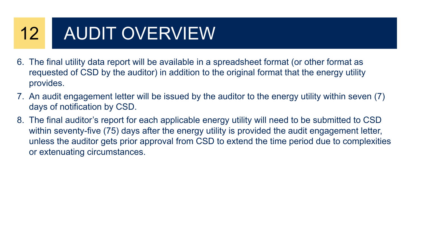## 12 AUDIT OVERVIEW

- 6. The final utility data report will be available in a spreadsheet format (or other format as requested of CSD by the auditor) in addition to the original format that the energy utility provides.
- 7. An audit engagement letter will be issued by the auditor to the energy utility within seven (7) days of notification by CSD.
- 8. The final auditor's report for each applicable energy utility will need to be submitted to CSD within seventy-five (75) days after the energy utility is provided the audit engagement letter, unless the auditor gets prior approval from CSD to extend the time period due to complexities or extenuating circumstances.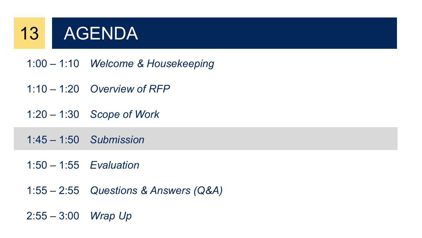## 13 AGENDA

- 1:00 1:10 *Welcome & Housekeeping*
- 1:10 1:20 *Overview of RFP*
- 1:20 1:30 *Scope of Work*
- 1:45 1:50 *Submission*
- 1:50 1:55 *Evaluation*
- 1:55 2:55 *Questions & Answers (Q&A)*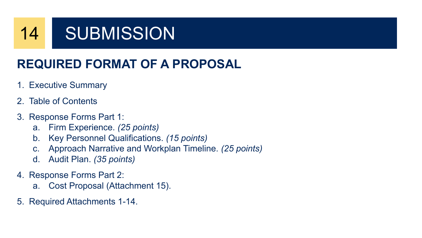#### 14 SUBMISSION

#### **REQUIRED FORMAT OF A PROPOSAL**

#### 1. Executive Summary

- 2. Table of Contents
- 3. Response Forms Part 1:
	- a. Firm Experience. *(25 points)*
	- b. Key Personnel Qualifications. *(15 points)*
	- c. Approach Narrative and Workplan Timeline. *(25 points)*
	- d. Audit Plan. *(35 points)*
- 4. Response Forms Part 2:
	- a. Cost Proposal (Attachment 15).
- 5. Required Attachments 1-14.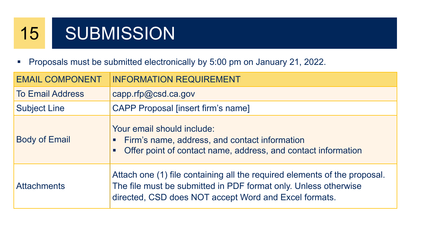### 15 SUBMISSION

Proposals must be submitted electronically by 5:00 pm on January 21, 2022.

| <b>EMAIL COMPONENT</b>  | <b>INFORMATION REQUIREMENT</b>                                                                                                                                                                        |
|-------------------------|-------------------------------------------------------------------------------------------------------------------------------------------------------------------------------------------------------|
| <b>To Email Address</b> | capp.rfp@csd.ca.gov                                                                                                                                                                                   |
| <b>Subject Line</b>     | <b>CAPP Proposal [insert firm's name]</b>                                                                                                                                                             |
| <b>Body of Email</b>    | Your email should include:<br>Firm's name, address, and contact information<br>$\Box$<br>Offer point of contact name, address, and contact information                                                |
| <b>Attachments</b>      | Attach one (1) file containing all the required elements of the proposal.<br>The file must be submitted in PDF format only. Unless otherwise<br>directed, CSD does NOT accept Word and Excel formats. |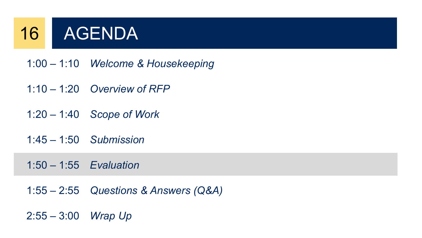### 16 AGENDA

- 1:00 1:10 *Welcome & Housekeeping*
- 1:10 1:20 *Overview of RFP*
- 1:20 1:40 *Scope of Work*
- 1:45 1:50 *Submission*

1:50 – 1:55 *Evaluation*

1:55 – 2:55 *Questions & Answers (Q&A)*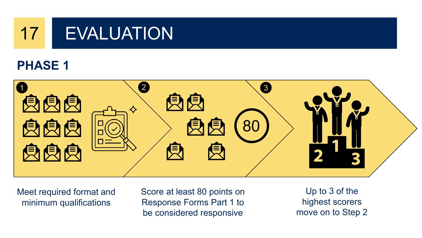

#### **PHASE 1**



Meet required format and minimum qualifications

Score at least 80 points on Response Forms Part 1 to be considered responsive

Up to 3 of the highest scorers move on to Step 2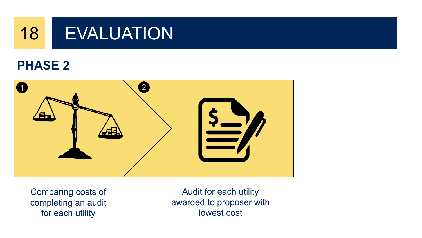

#### **PHASE 2**



Comparing costs of completing an audit for each utility

Audit for each utility awarded to proposer with lowest cost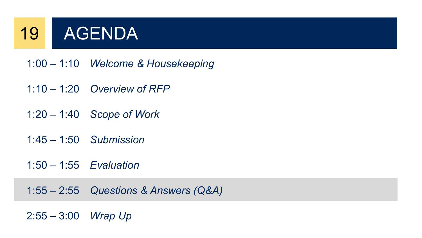### 19 AGENDA

- 1:00 1:10 *Welcome & Housekeeping*
- 1:10 1:20 *Overview of RFP*
- 1:20 1:40 *Scope of Work*
- 1:45 1:50 *Submission*
- 1:50 1:55 *Evaluation*

1:55 – 2:55 *Questions & Answers (Q&A)*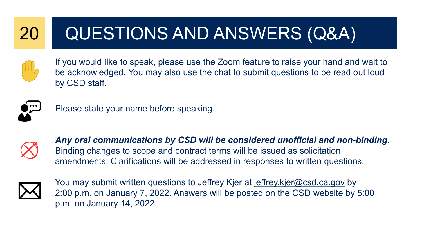#### 20 QUESTIONS AND ANSWERS (Q&A)



If you would like to speak, please use the Zoom feature to raise your hand and wait to be acknowledged. You may also use the chat to submit questions to be read out loud by CSD staff.



Please state your name before speaking.



*Any oral communications by CSD will be considered unofficial and non-binding.*  Binding changes to scope and contract terms will be issued as solicitation amendments. Clarifications will be addressed in responses to written questions.



You may submit written questions to Jeffrey Kjer at [jeffrey.kjer@csd.ca.gov](mailto:jeffrey.kjer@csd.ca.gov) by 2:00 p.m. on January 7, 2022. Answers will be posted on the CSD website by 5:00 p.m. on January 14, 2022.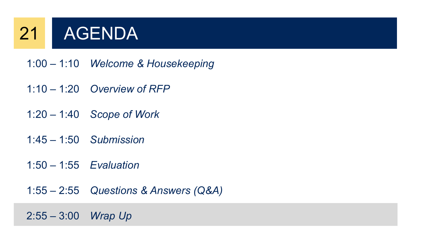## 21 AGENDA

- 1:00 1:10 *Welcome & Housekeeping*
- 1:10 1:20 *Overview of RFP*
- 1:20 1:40 *Scope of Work*
- 1:45 1:50 *Submission*
- 1:50 1:55 *Evaluation*
- 1:55 2:55 *Questions & Answers (Q&A)*